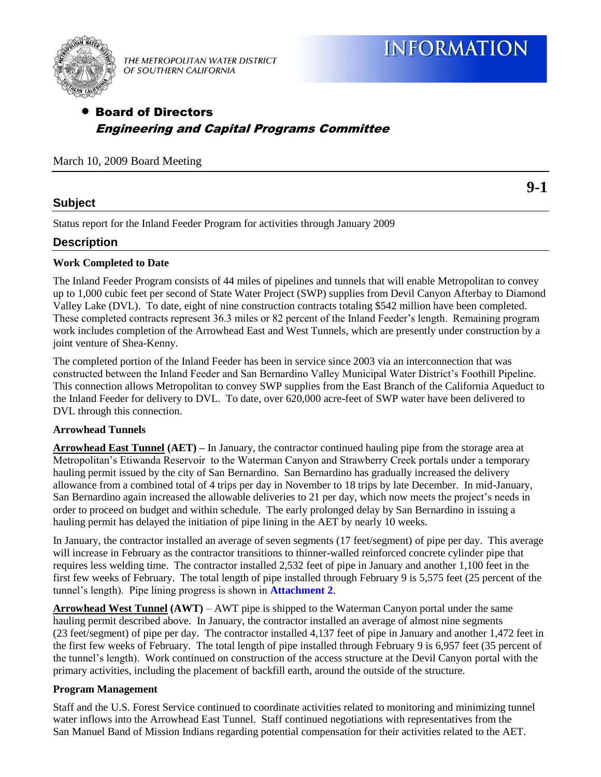

THE METROPOLITAN WATER DISTRICT OF SOUTHERN CALIFORNIA

# Board of Directors Engineering and Capital Programs Committee

March 10, 2009 Board Meeting

# **Subject**

**9-1** 

Status report for the Inland Feeder Program for activities through January 2009

## **Description**

## **Work Completed to Date**

The Inland Feeder Program consists of 44 miles of pipelines and tunnels that will enable Metropolitan to convey up to 1,000 cubic feet per second of State Water Project (SWP) supplies from Devil Canyon Afterbay to Diamond Valley Lake (DVL). To date, eight of nine construction contracts totaling \$542 million have been completed. These completed contracts represent 36.3 miles or 82 percent of the Inland Feeder's length. Remaining program work includes completion of the Arrowhead East and West Tunnels, which are presently under construction by a joint venture of Shea-Kenny.

The completed portion of the Inland Feeder has been in service since 2003 via an interconnection that was constructed between the Inland Feeder and San Bernardino Valley Municipal Water District's Foothill Pipeline. This connection allows Metropolitan to convey SWP supplies from the East Branch of the California Aqueduct to the Inland Feeder for delivery to DVL. To date, over 620,000 acre-feet of SWP water have been delivered to DVL through this connection.

## **Arrowhead Tunnels**

**Arrowhead East Tunnel (AET) –** In January, the contractor continued hauling pipe from the storage area at Metropolitan's Etiwanda Reservoir to the Waterman Canyon and Strawberry Creek portals under a temporary hauling permit issued by the city of San Bernardino. San Bernardino has gradually increased the delivery allowance from a combined total of 4 trips per day in November to 18 trips by late December. In mid-January, San Bernardino again increased the allowable deliveries to 21 per day, which now meets the project's needs in order to proceed on budget and within schedule. The early prolonged delay by San Bernardino in issuing a hauling permit has delayed the initiation of pipe lining in the AET by nearly 10 weeks.

In January, the contractor installed an average of seven segments (17 feet/segment) of pipe per day. This average will increase in February as the contractor transitions to thinner-walled reinforced concrete cylinder pipe that requires less welding time. The contractor installed 2,532 feet of pipe in January and another 1,100 feet in the first few weeks of February. The total length of pipe installed through February 9 is 5,575 feet (25 percent of the tunnel's length). Pipe lining progress is shown in **[Attachment 2](#page-4-0)**.

**Arrowhead West Tunnel (AWT)** – AWT pipe is shipped to the Waterman Canyon portal under the same hauling permit described above. In January, the contractor installed an average of almost nine segments (23 feet/segment) of pipe per day. The contractor installed 4,137 feet of pipe in January and another 1,472 feet in the first few weeks of February. The total length of pipe installed through February 9 is 6,957 feet (35 percent of the tunnel's length). Work continued on construction of the access structure at the Devil Canyon portal with the primary activities, including the placement of backfill earth, around the outside of the structure.

## **Program Management**

Staff and the U.S. Forest Service continued to coordinate activities related to monitoring and minimizing tunnel water inflows into the Arrowhead East Tunnel. Staff continued negotiations with representatives from the San Manuel Band of Mission Indians regarding potential compensation for their activities related to the AET.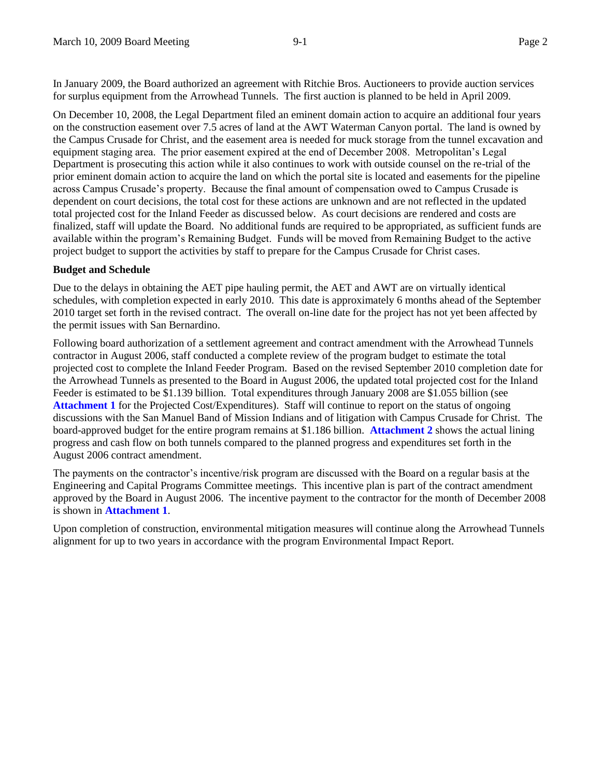In January 2009, the Board authorized an agreement with Ritchie Bros. Auctioneers to provide auction services for surplus equipment from the Arrowhead Tunnels. The first auction is planned to be held in April 2009.

On December 10, 2008, the Legal Department filed an eminent domain action to acquire an additional four years on the construction easement over 7.5 acres of land at the AWT Waterman Canyon portal. The land is owned by the Campus Crusade for Christ, and the easement area is needed for muck storage from the tunnel excavation and equipment staging area. The prior easement expired at the end of December 2008. Metropolitan's Legal Department is prosecuting this action while it also continues to work with outside counsel on the re-trial of the prior eminent domain action to acquire the land on which the portal site is located and easements for the pipeline across Campus Crusade's property. Because the final amount of compensation owed to Campus Crusade is dependent on court decisions, the total cost for these actions are unknown and are not reflected in the updated total projected cost for the Inland Feeder as discussed below. As court decisions are rendered and costs are finalized, staff will update the Board. No additional funds are required to be appropriated, as sufficient funds are available within the program's Remaining Budget. Funds will be moved from Remaining Budget to the active project budget to support the activities by staff to prepare for the Campus Crusade for Christ cases.

#### **Budget and Schedule**

Due to the delays in obtaining the AET pipe hauling permit, the AET and AWT are on virtually identical schedules, with completion expected in early 2010. This date is approximately 6 months ahead of the September 2010 target set forth in the revised contract. The overall on-line date for the project has not yet been affected by the permit issues with San Bernardino.

Following board authorization of a settlement agreement and contract amendment with the Arrowhead Tunnels contractor in August 2006, staff conducted a complete review of the program budget to estimate the total projected cost to complete the Inland Feeder Program. Based on the revised September 2010 completion date for the Arrowhead Tunnels as presented to the Board in August 2006, the updated total projected cost for the Inland Feeder is estimated to be \$1.139 billion. Total expenditures through January 2008 are \$1.055 billion (see **[Attachment 1](#page-3-0)** for the Projected Cost/Expenditures). Staff will continue to report on the status of ongoing discussions with the San Manuel Band of Mission Indians and of litig[ation with Campus Crus](#page-4-0)ade for Christ. The board-approved budget for the entire program remains at \$1.186 billion. **Attachment 2** shows the actual lining progress and cash flow on both tunnels compared to the planned progress and expenditures set forth in the August 2006 contract amendment.

The payments on the contractor's incentive/risk program are discussed with the Board on a regular basis at the Engineering and Capital Programs Committee meetings. This incentive plan is part of the contract amendment approved [by the Board in Augus](#page-3-0)t 2006. The incentive payment to the contractor for the month of December 2008 is shown in **Attachment 1**.

Upon completion of construction, environmental mitigation measures will continue along the Arrowhead Tunnels alignment for up to two years in accordance with the program Environmental Impact Report.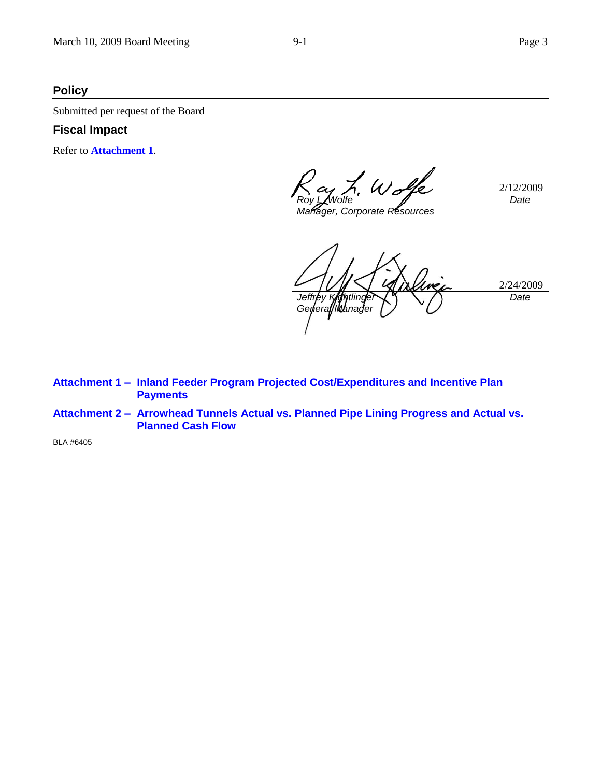## **Policy**

Submitted per request of the Board

#### **Fiscal Impact**

Refer to **[Attachment 1](#page-3-0)**.

2/12/2009 *Roy L. Wolfe Date*

*Manager, Corporate Resources*

2/24/2009 Jeffrey K *General Manager Date*

**Attachment 1 – [Inland Feeder Program Projected Cost/Expenditures and Incentive Plan](#page-3-0)  Payments** 

**Attachment 2 – [Arrowhead Tunnels Actual vs. Planned Pipe Lining Progress and Actual vs.](#page-4-0)  Planned Cash Flow** 

BLA #6405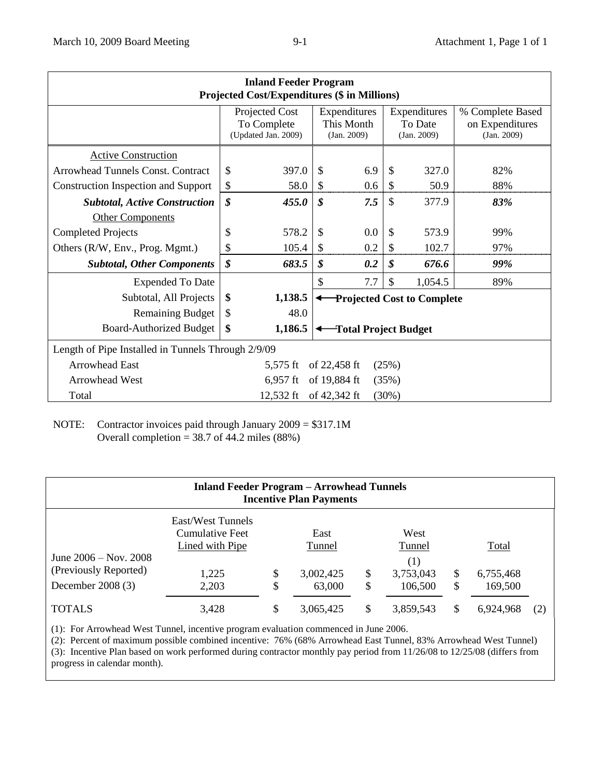<span id="page-3-0"></span>

| <b>Inland Feeder Program</b><br><b>Projected Cost/Expenditures (\$ in Millions)</b> |                                                      |         |                                           |                                   |                                        |         |                                                    |  |  |  |  |  |
|-------------------------------------------------------------------------------------|------------------------------------------------------|---------|-------------------------------------------|-----------------------------------|----------------------------------------|---------|----------------------------------------------------|--|--|--|--|--|
|                                                                                     | Projected Cost<br>To Complete<br>(Updated Jan. 2009) |         | Expenditures<br>This Month<br>(Jan. 2009) |                                   | Expenditures<br>To Date<br>(Jan. 2009) |         | % Complete Based<br>on Expenditures<br>(Jan. 2009) |  |  |  |  |  |
| <b>Active Construction</b>                                                          |                                                      |         |                                           |                                   |                                        |         |                                                    |  |  |  |  |  |
| Arrowhead Tunnels Const. Contract                                                   | \$                                                   | 397.0   | $\mathcal{S}$                             | 6.9                               | $\mathcal{S}$                          | 327.0   | 82%                                                |  |  |  |  |  |
| <b>Construction Inspection and Support</b>                                          | \$                                                   | 58.0    | \$                                        | 0.6                               | $\mathcal{S}$                          | 50.9    | 88%                                                |  |  |  |  |  |
| <b>Subtotal, Active Construction</b>                                                | \$                                                   | 455.0   | \$                                        | 7.5                               | $\mathcal{S}$                          | 377.9   | 83%                                                |  |  |  |  |  |
| <b>Other Components</b>                                                             |                                                      |         |                                           |                                   |                                        |         |                                                    |  |  |  |  |  |
| <b>Completed Projects</b>                                                           | \$                                                   | 578.2   | \$                                        | 0.0                               | \$                                     | 573.9   | 99%                                                |  |  |  |  |  |
| Others (R/W, Env., Prog. Mgmt.)                                                     | \$                                                   | 105.4   | \$                                        | 0.2                               | \$                                     | 102.7   | 97%                                                |  |  |  |  |  |
| <b>Subtotal, Other Components</b>                                                   | \$                                                   | 683.5   | \$                                        | 0.2                               | \$                                     | 676.6   | 99%                                                |  |  |  |  |  |
| <b>Expended To Date</b>                                                             |                                                      |         | \$                                        | 7.7                               | \$                                     | 1,054.5 | 89%                                                |  |  |  |  |  |
| Subtotal, All Projects                                                              | \$                                                   | 1,138.5 |                                           | <b>Projected Cost to Complete</b> |                                        |         |                                                    |  |  |  |  |  |
| <b>Remaining Budget</b>                                                             | \$                                                   | 48.0    |                                           |                                   |                                        |         |                                                    |  |  |  |  |  |
| <b>Board-Authorized Budget</b>                                                      | \$                                                   | 1,186.5 | Total Project Budget                      |                                   |                                        |         |                                                    |  |  |  |  |  |
| Length of Pipe Installed in Tunnels Through 2/9/09                                  |                                                      |         |                                           |                                   |                                        |         |                                                    |  |  |  |  |  |
| <b>Arrowhead East</b>                                                               | (25%)<br>5,575 ft<br>of 22,458 ft                    |         |                                           |                                   |                                        |         |                                                    |  |  |  |  |  |
| <b>Arrowhead West</b>                                                               | of 19,884 ft<br>$6,957$ ft<br>(35%)                  |         |                                           |                                   |                                        |         |                                                    |  |  |  |  |  |
| of 42,342 ft<br>Total<br>$12,532$ ft<br>(30%)                                       |                                                      |         |                                           |                                   |                                        |         |                                                    |  |  |  |  |  |

NOTE: Contractor invoices paid through January 2009 = \$317.1M Overall completion =  $38.7$  of 44.2 miles (88%)

| <b>Inland Feeder Program - Arrowhead Tunnels</b><br><b>Incentive Plan Payments</b> |                                                                           |                    |                                       |         |                                               |         |                               |     |  |  |  |  |  |  |
|------------------------------------------------------------------------------------|---------------------------------------------------------------------------|--------------------|---------------------------------------|---------|-----------------------------------------------|---------|-------------------------------|-----|--|--|--|--|--|--|
| June $2006 - \text{Nov. } 2008$<br>(Previously Reported)<br>December $2008(3)$     | East/West Tunnels<br>Cumulative Feet<br>Lined with Pipe<br>1,225<br>2,203 | $\mathbb{S}$<br>\$ | East<br>Tunnel<br>3,002,425<br>63,000 | S<br>\$ | West<br>Tunnel<br>(1)<br>3,753,043<br>106,500 | S<br>\$ | Total<br>6,755,468<br>169,500 |     |  |  |  |  |  |  |
| <b>TOTALS</b>                                                                      | 3,428                                                                     | S                  | 3,065,425                             |         | 3,859,543                                     | S       | 6.924.968                     | (2) |  |  |  |  |  |  |

(1): For Arrowhead West Tunnel, incentive program evaluation commenced in June 2006.

(2): Percent of maximum possible combined incentive: 76% (68% Arrowhead East Tunnel, 83% Arrowhead West Tunnel) (3): Incentive Plan based on work performed during contractor monthly pay period from 11/26/08 to 12/25/08 (differs from progress in calendar month).